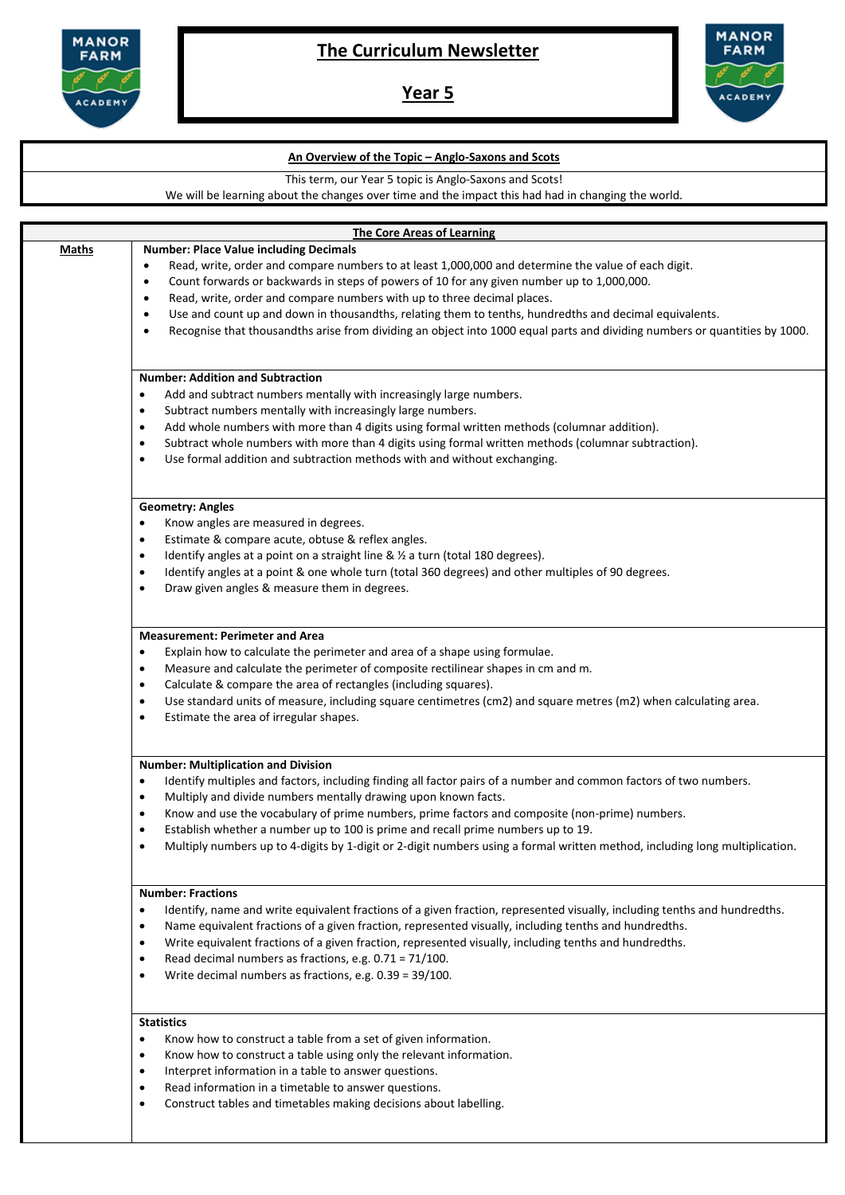

# **The Curriculum Newsletter**

**Year 5**



|                                                                                                                                                                                                                                                                                                                                                                                                                                                                         | An Overview of the Topic - Anglo-Saxons and Scots                                                                                                                                                                                                                                                                                                                                                                                                                                                                                                                                         |  |  |  |  |
|-------------------------------------------------------------------------------------------------------------------------------------------------------------------------------------------------------------------------------------------------------------------------------------------------------------------------------------------------------------------------------------------------------------------------------------------------------------------------|-------------------------------------------------------------------------------------------------------------------------------------------------------------------------------------------------------------------------------------------------------------------------------------------------------------------------------------------------------------------------------------------------------------------------------------------------------------------------------------------------------------------------------------------------------------------------------------------|--|--|--|--|
|                                                                                                                                                                                                                                                                                                                                                                                                                                                                         | This term, our Year 5 topic is Anglo-Saxons and Scots!                                                                                                                                                                                                                                                                                                                                                                                                                                                                                                                                    |  |  |  |  |
|                                                                                                                                                                                                                                                                                                                                                                                                                                                                         | We will be learning about the changes over time and the impact this had had in changing the world.                                                                                                                                                                                                                                                                                                                                                                                                                                                                                        |  |  |  |  |
|                                                                                                                                                                                                                                                                                                                                                                                                                                                                         |                                                                                                                                                                                                                                                                                                                                                                                                                                                                                                                                                                                           |  |  |  |  |
|                                                                                                                                                                                                                                                                                                                                                                                                                                                                         | <b>The Core Areas of Learning</b><br><b>Number: Place Value including Decimals</b>                                                                                                                                                                                                                                                                                                                                                                                                                                                                                                        |  |  |  |  |
| <b>Maths</b>                                                                                                                                                                                                                                                                                                                                                                                                                                                            | Read, write, order and compare numbers to at least 1,000,000 and determine the value of each digit.<br>$\bullet$<br>Count forwards or backwards in steps of powers of 10 for any given number up to 1,000,000.<br>$\bullet$<br>Read, write, order and compare numbers with up to three decimal places.<br>$\bullet$<br>Use and count up and down in thousandths, relating them to tenths, hundredths and decimal equivalents.<br>$\bullet$<br>Recognise that thousandths arise from dividing an object into 1000 equal parts and dividing numbers or quantities by 1000.<br>$\bullet$     |  |  |  |  |
|                                                                                                                                                                                                                                                                                                                                                                                                                                                                         |                                                                                                                                                                                                                                                                                                                                                                                                                                                                                                                                                                                           |  |  |  |  |
|                                                                                                                                                                                                                                                                                                                                                                                                                                                                         | <b>Number: Addition and Subtraction</b><br>Add and subtract numbers mentally with increasingly large numbers.<br>$\bullet$<br>Subtract numbers mentally with increasingly large numbers.<br>٠<br>Add whole numbers with more than 4 digits using formal written methods (columnar addition).<br>$\bullet$<br>Subtract whole numbers with more than 4 digits using formal written methods (columnar subtraction).<br>Use formal addition and subtraction methods with and without exchanging.<br>$\bullet$                                                                                 |  |  |  |  |
| <b>Geometry: Angles</b>                                                                                                                                                                                                                                                                                                                                                                                                                                                 |                                                                                                                                                                                                                                                                                                                                                                                                                                                                                                                                                                                           |  |  |  |  |
|                                                                                                                                                                                                                                                                                                                                                                                                                                                                         | Know angles are measured in degrees.<br>$\bullet$<br>Estimate & compare acute, obtuse & reflex angles.<br>$\bullet$<br>Identify angles at a point on a straight line & 1/2 a turn (total 180 degrees).<br>$\bullet$<br>Identify angles at a point & one whole turn (total 360 degrees) and other multiples of 90 degrees.<br>٠<br>Draw given angles & measure them in degrees.<br>$\bullet$                                                                                                                                                                                               |  |  |  |  |
| <b>Measurement: Perimeter and Area</b><br>Explain how to calculate the perimeter and area of a shape using formulae.<br>$\bullet$<br>Measure and calculate the perimeter of composite rectilinear shapes in cm and m.<br>٠<br>Calculate & compare the area of rectangles (including squares).<br>$\bullet$<br>Use standard units of measure, including square centimetres (cm2) and square metres (m2) when calculating area.<br>Estimate the area of irregular shapes. |                                                                                                                                                                                                                                                                                                                                                                                                                                                                                                                                                                                           |  |  |  |  |
|                                                                                                                                                                                                                                                                                                                                                                                                                                                                         | <b>Number: Multiplication and Division</b><br>Identify multiples and factors, including finding all factor pairs of a number and common factors of two numbers<br>Multiply and divide numbers mentally drawing upon known facts.<br>$\bullet$<br>Know and use the vocabulary of prime numbers, prime factors and composite (non-prime) numbers.<br>٠<br>Establish whether a number up to 100 is prime and recall prime numbers up to 19.<br>٠<br>Multiply numbers up to 4-digits by 1-digit or 2-digit numbers using a formal written method, including long multiplication.<br>$\bullet$ |  |  |  |  |
|                                                                                                                                                                                                                                                                                                                                                                                                                                                                         | <b>Number: Fractions</b><br>Identify, name and write equivalent fractions of a given fraction, represented visually, including tenths and hundredths.<br>$\bullet$<br>Name equivalent fractions of a given fraction, represented visually, including tenths and hundredths.<br>$\bullet$<br>Write equivalent fractions of a given fraction, represented visually, including tenths and hundredths.<br>$\bullet$<br>Read decimal numbers as fractions, e.g. 0.71 = 71/100.<br>$\bullet$<br>Write decimal numbers as fractions, e.g. 0.39 = 39/100.<br>٠                                    |  |  |  |  |
|                                                                                                                                                                                                                                                                                                                                                                                                                                                                         | <b>Statistics</b><br>Know how to construct a table from a set of given information.<br>$\bullet$<br>Know how to construct a table using only the relevant information.<br>$\bullet$<br>Interpret information in a table to answer questions.<br>$\bullet$<br>Read information in a timetable to answer questions.<br>$\bullet$<br>Construct tables and timetables making decisions about labelling.                                                                                                                                                                                       |  |  |  |  |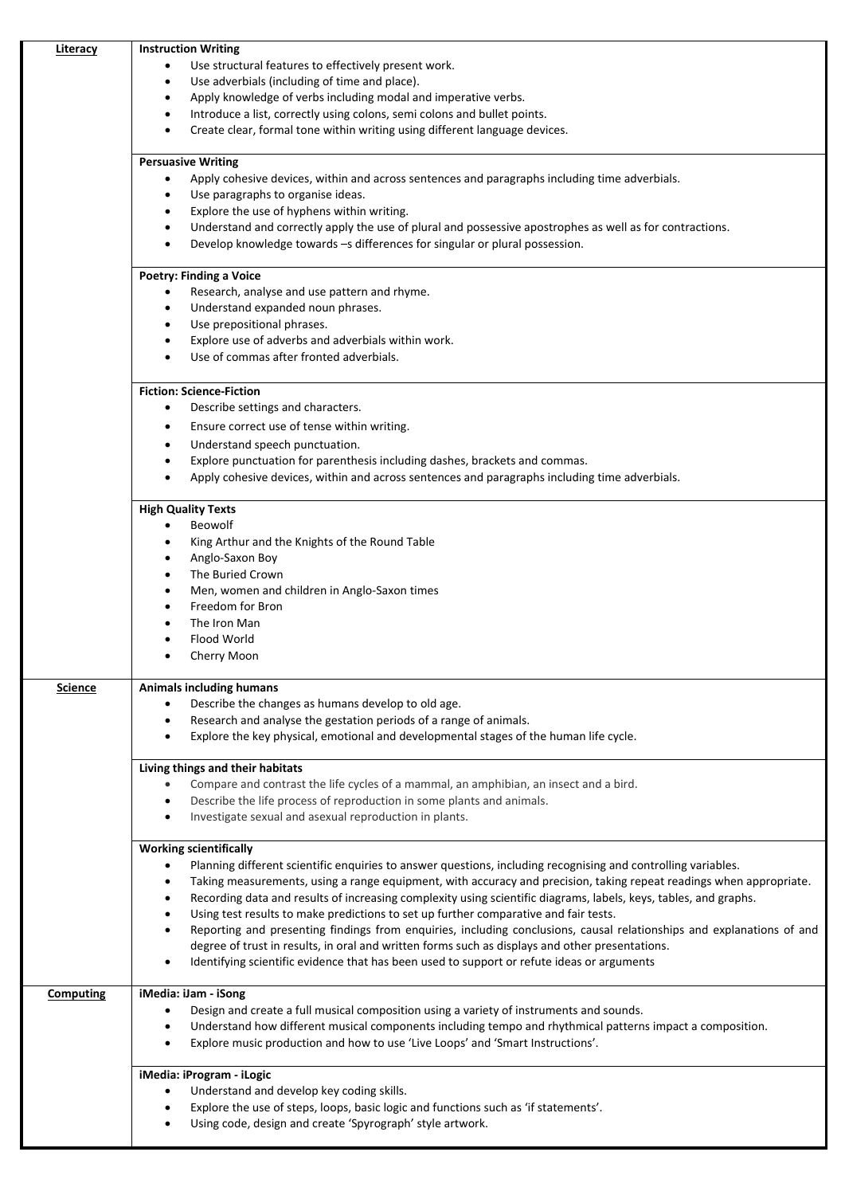| Literacy         | <b>Instruction Writing</b>                                                                                                         |
|------------------|------------------------------------------------------------------------------------------------------------------------------------|
|                  | Use structural features to effectively present work.                                                                               |
|                  | Use adverbials (including of time and place).<br>$\bullet$                                                                         |
|                  | Apply knowledge of verbs including modal and imperative verbs.                                                                     |
|                  | $\bullet$                                                                                                                          |
|                  | Introduce a list, correctly using colons, semi colons and bullet points.<br>$\bullet$                                              |
|                  | Create clear, formal tone within writing using different language devices.<br>$\bullet$                                            |
|                  |                                                                                                                                    |
|                  | <b>Persuasive Writing</b>                                                                                                          |
|                  | Apply cohesive devices, within and across sentences and paragraphs including time adverbials.<br>$\bullet$                         |
|                  |                                                                                                                                    |
|                  | Use paragraphs to organise ideas.<br>$\bullet$                                                                                     |
|                  | Explore the use of hyphens within writing.<br>$\bullet$                                                                            |
|                  | Understand and correctly apply the use of plural and possessive apostrophes as well as for contractions.<br>$\bullet$              |
|                  | Develop knowledge towards -s differences for singular or plural possession.<br>$\bullet$                                           |
|                  |                                                                                                                                    |
|                  | <b>Poetry: Finding a Voice</b>                                                                                                     |
|                  |                                                                                                                                    |
|                  | Research, analyse and use pattern and rhyme.<br>$\bullet$                                                                          |
|                  | Understand expanded noun phrases.<br>٠                                                                                             |
|                  | Use prepositional phrases.<br>$\bullet$                                                                                            |
|                  | Explore use of adverbs and adverbials within work.<br>$\bullet$                                                                    |
|                  | Use of commas after fronted adverbials.<br>$\bullet$                                                                               |
|                  |                                                                                                                                    |
|                  |                                                                                                                                    |
|                  | <b>Fiction: Science-Fiction</b>                                                                                                    |
|                  | Describe settings and characters.<br>$\bullet$                                                                                     |
|                  | Ensure correct use of tense within writing.<br>$\bullet$                                                                           |
|                  |                                                                                                                                    |
|                  | Understand speech punctuation.<br>٠                                                                                                |
|                  | Explore punctuation for parenthesis including dashes, brackets and commas.<br>$\bullet$                                            |
|                  | Apply cohesive devices, within and across sentences and paragraphs including time adverbials.<br>$\bullet$                         |
|                  |                                                                                                                                    |
|                  | <b>High Quality Texts</b>                                                                                                          |
|                  | Beowolf<br>$\bullet$                                                                                                               |
|                  | King Arthur and the Knights of the Round Table<br>$\bullet$                                                                        |
|                  | Anglo-Saxon Boy<br>$\bullet$                                                                                                       |
|                  |                                                                                                                                    |
|                  | The Buried Crown<br>$\bullet$                                                                                                      |
|                  | Men, women and children in Anglo-Saxon times<br>٠                                                                                  |
|                  | Freedom for Bron                                                                                                                   |
|                  | The Iron Man                                                                                                                       |
|                  | Flood World                                                                                                                        |
|                  |                                                                                                                                    |
|                  | Cherry Moon                                                                                                                        |
|                  |                                                                                                                                    |
| <b>Science</b>   | <b>Animals including humans</b>                                                                                                    |
|                  | Describe the changes as humans develop to old age.                                                                                 |
|                  | Research and analyse the gestation periods of a range of animals.<br>$\bullet$                                                     |
|                  | Explore the key physical, emotional and developmental stages of the human life cycle.<br>$\bullet$                                 |
|                  |                                                                                                                                    |
|                  | Living things and their habitats                                                                                                   |
|                  | Compare and contrast the life cycles of a mammal, an amphibian, an insect and a bird.                                              |
|                  | Describe the life process of reproduction in some plants and animals.<br>$\bullet$                                                 |
|                  |                                                                                                                                    |
|                  | Investigate sexual and asexual reproduction in plants.<br>٠                                                                        |
|                  |                                                                                                                                    |
|                  | <b>Working scientifically</b>                                                                                                      |
|                  | Planning different scientific enquiries to answer questions, including recognising and controlling variables.<br>$\bullet$         |
|                  | Taking measurements, using a range equipment, with accuracy and precision, taking repeat readings when appropriate.<br>$\bullet$   |
|                  | Recording data and results of increasing complexity using scientific diagrams, labels, keys, tables, and graphs.<br>$\bullet$      |
|                  | Using test results to make predictions to set up further comparative and fair tests.<br>$\bullet$                                  |
|                  | Reporting and presenting findings from enquiries, including conclusions, causal relationships and explanations of and<br>$\bullet$ |
|                  |                                                                                                                                    |
|                  | degree of trust in results, in oral and written forms such as displays and other presentations.                                    |
|                  | Identifying scientific evidence that has been used to support or refute ideas or arguments<br>$\bullet$                            |
|                  |                                                                                                                                    |
| <b>Computing</b> | iMedia: iJam - iSong                                                                                                               |
|                  | Design and create a full musical composition using a variety of instruments and sounds.<br>$\bullet$                               |
|                  | Understand how different musical components including tempo and rhythmical patterns impact a composition.<br>$\bullet$             |
|                  | Explore music production and how to use 'Live Loops' and 'Smart Instructions'.<br>$\bullet$                                        |
|                  |                                                                                                                                    |
|                  | iMedia: iProgram - iLogic                                                                                                          |
|                  | Understand and develop key coding skills.                                                                                          |
|                  | Explore the use of steps, loops, basic logic and functions such as 'if statements'.                                                |
|                  | Using code, design and create 'Spyrograph' style artwork.                                                                          |
|                  |                                                                                                                                    |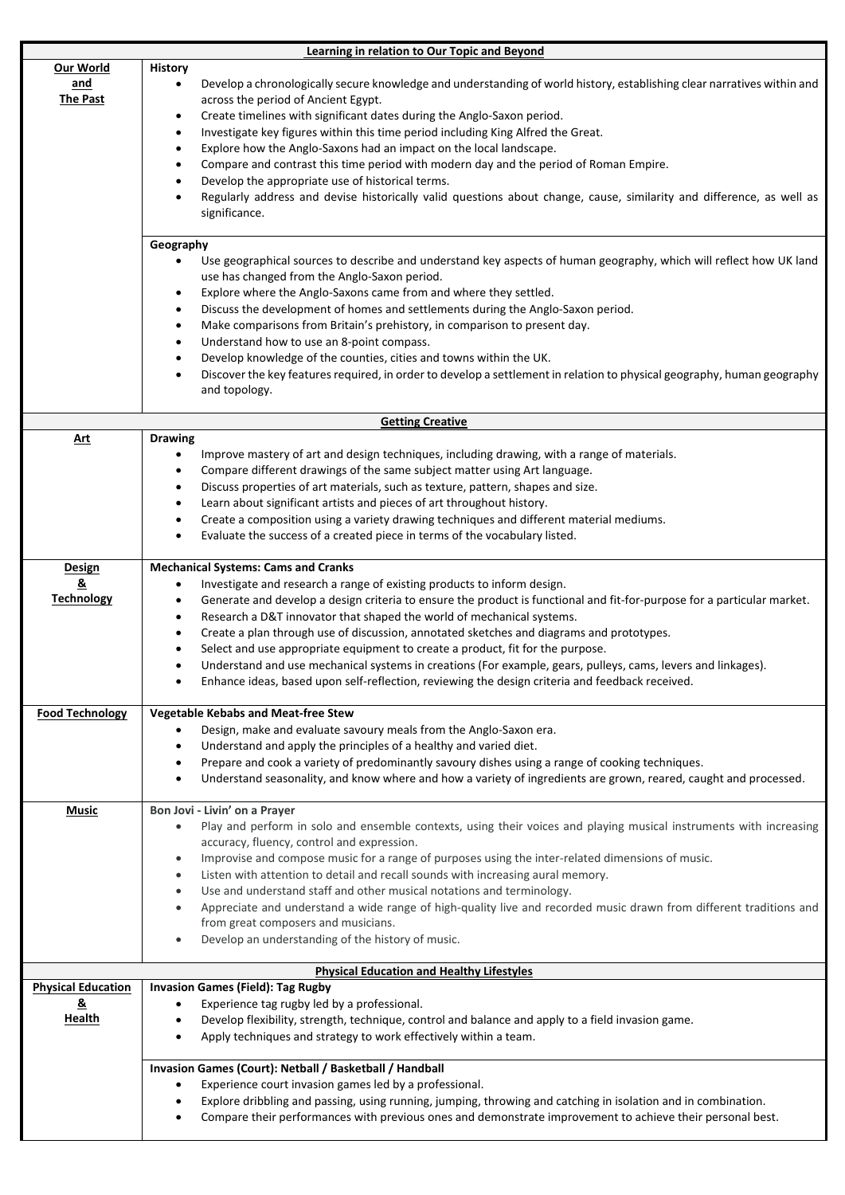| Learning in relation to Our Topic and Beyond |                                                                                                                                                                                                                         |  |  |
|----------------------------------------------|-------------------------------------------------------------------------------------------------------------------------------------------------------------------------------------------------------------------------|--|--|
| Our World                                    | <b>History</b>                                                                                                                                                                                                          |  |  |
| <u>and</u>                                   | Develop a chronologically secure knowledge and understanding of world history, establishing clear narratives within and<br>$\bullet$                                                                                    |  |  |
| <b>The Past</b>                              | across the period of Ancient Egypt.<br>Create timelines with significant dates during the Anglo-Saxon period.<br>$\bullet$                                                                                              |  |  |
|                                              | Investigate key figures within this time period including King Alfred the Great.<br>$\bullet$                                                                                                                           |  |  |
|                                              | Explore how the Anglo-Saxons had an impact on the local landscape.<br>$\bullet$                                                                                                                                         |  |  |
|                                              | Compare and contrast this time period with modern day and the period of Roman Empire.<br>$\bullet$                                                                                                                      |  |  |
|                                              | Develop the appropriate use of historical terms.                                                                                                                                                                        |  |  |
|                                              | Regularly address and devise historically valid questions about change, cause, similarity and difference, as well as                                                                                                    |  |  |
|                                              | significance.                                                                                                                                                                                                           |  |  |
|                                              | Geography                                                                                                                                                                                                               |  |  |
|                                              | Use geographical sources to describe and understand key aspects of human geography, which will reflect how UK land<br>$\bullet$                                                                                         |  |  |
|                                              | use has changed from the Anglo-Saxon period.                                                                                                                                                                            |  |  |
|                                              | Explore where the Anglo-Saxons came from and where they settled.<br>$\bullet$                                                                                                                                           |  |  |
|                                              | Discuss the development of homes and settlements during the Anglo-Saxon period.<br>٠                                                                                                                                    |  |  |
|                                              | Make comparisons from Britain's prehistory, in comparison to present day.<br>$\bullet$                                                                                                                                  |  |  |
|                                              | Understand how to use an 8-point compass.<br>$\bullet$                                                                                                                                                                  |  |  |
|                                              | Develop knowledge of the counties, cities and towns within the UK.<br>$\bullet$<br>Discover the key features required, in order to develop a settlement in relation to physical geography, human geography<br>$\bullet$ |  |  |
|                                              | and topology.                                                                                                                                                                                                           |  |  |
|                                              |                                                                                                                                                                                                                         |  |  |
|                                              | <b>Getting Creative</b>                                                                                                                                                                                                 |  |  |
| <u>Art</u>                                   | <b>Drawing</b><br>Improve mastery of art and design techniques, including drawing, with a range of materials.<br>$\bullet$                                                                                              |  |  |
|                                              | Compare different drawings of the same subject matter using Art language.                                                                                                                                               |  |  |
|                                              | Discuss properties of art materials, such as texture, pattern, shapes and size.<br>٠                                                                                                                                    |  |  |
|                                              | Learn about significant artists and pieces of art throughout history.<br>$\bullet$                                                                                                                                      |  |  |
|                                              | Create a composition using a variety drawing techniques and different material mediums.<br>$\bullet$                                                                                                                    |  |  |
|                                              | Evaluate the success of a created piece in terms of the vocabulary listed.<br>$\bullet$                                                                                                                                 |  |  |
| <b>Design</b>                                | <b>Mechanical Systems: Cams and Cranks</b>                                                                                                                                                                              |  |  |
| &                                            | Investigate and research a range of existing products to inform design.<br>$\bullet$                                                                                                                                    |  |  |
| <b>Technology</b>                            | Generate and develop a design criteria to ensure the product is functional and fit-for-purpose for a particular market.<br>٠                                                                                            |  |  |
|                                              | Research a D&T innovator that shaped the world of mechanical systems.<br>٠                                                                                                                                              |  |  |
|                                              | Create a plan through use of discussion, annotated sketches and diagrams and prototypes.<br>٠                                                                                                                           |  |  |
|                                              | Select and use appropriate equipment to create a product, fit for the purpose.                                                                                                                                          |  |  |
|                                              | Understand and use mechanical systems in creations (For example, gears, pulleys, cams, levers and linkages).                                                                                                            |  |  |
|                                              | Enhance ideas, based upon self-reflection, reviewing the design criteria and feedback received.                                                                                                                         |  |  |
| <b>Food Technology</b>                       | <b>Vegetable Kebabs and Meat-free Stew</b>                                                                                                                                                                              |  |  |
|                                              | Design, make and evaluate savoury meals from the Anglo-Saxon era.<br>$\bullet$                                                                                                                                          |  |  |
|                                              | Understand and apply the principles of a healthy and varied diet.<br>$\bullet$                                                                                                                                          |  |  |
|                                              | Prepare and cook a variety of predominantly savoury dishes using a range of cooking techniques.<br>$\bullet$                                                                                                            |  |  |
|                                              | Understand seasonality, and know where and how a variety of ingredients are grown, reared, caught and processed.<br>$\bullet$                                                                                           |  |  |
| <b>Music</b>                                 | Bon Jovi - Livin' on a Prayer                                                                                                                                                                                           |  |  |
|                                              | Play and perform in solo and ensemble contexts, using their voices and playing musical instruments with increasing<br>$\bullet$                                                                                         |  |  |
|                                              | accuracy, fluency, control and expression.                                                                                                                                                                              |  |  |
|                                              | Improvise and compose music for a range of purposes using the inter-related dimensions of music.<br>$\bullet$                                                                                                           |  |  |
|                                              | Listen with attention to detail and recall sounds with increasing aural memory.<br>$\bullet$                                                                                                                            |  |  |
|                                              | Use and understand staff and other musical notations and terminology.<br>$\bullet$<br>Appreciate and understand a wide range of high-quality live and recorded music drawn from different traditions and<br>$\bullet$   |  |  |
|                                              | from great composers and musicians.                                                                                                                                                                                     |  |  |
|                                              | Develop an understanding of the history of music.<br>$\bullet$                                                                                                                                                          |  |  |
|                                              |                                                                                                                                                                                                                         |  |  |
| <b>Physical Education</b>                    | <b>Physical Education and Healthy Lifestyles</b><br><b>Invasion Games (Field): Tag Rugby</b>                                                                                                                            |  |  |
| &                                            | Experience tag rugby led by a professional.<br>٠                                                                                                                                                                        |  |  |
| Health                                       | Develop flexibility, strength, technique, control and balance and apply to a field invasion game.<br>$\bullet$                                                                                                          |  |  |
|                                              | Apply techniques and strategy to work effectively within a team.<br>$\bullet$                                                                                                                                           |  |  |
|                                              | Invasion Games (Court): Netball / Basketball / Handball                                                                                                                                                                 |  |  |
|                                              | Experience court invasion games led by a professional.<br>$\bullet$                                                                                                                                                     |  |  |
|                                              | Explore dribbling and passing, using running, jumping, throwing and catching in isolation and in combination.                                                                                                           |  |  |
|                                              | Compare their performances with previous ones and demonstrate improvement to achieve their personal best.                                                                                                               |  |  |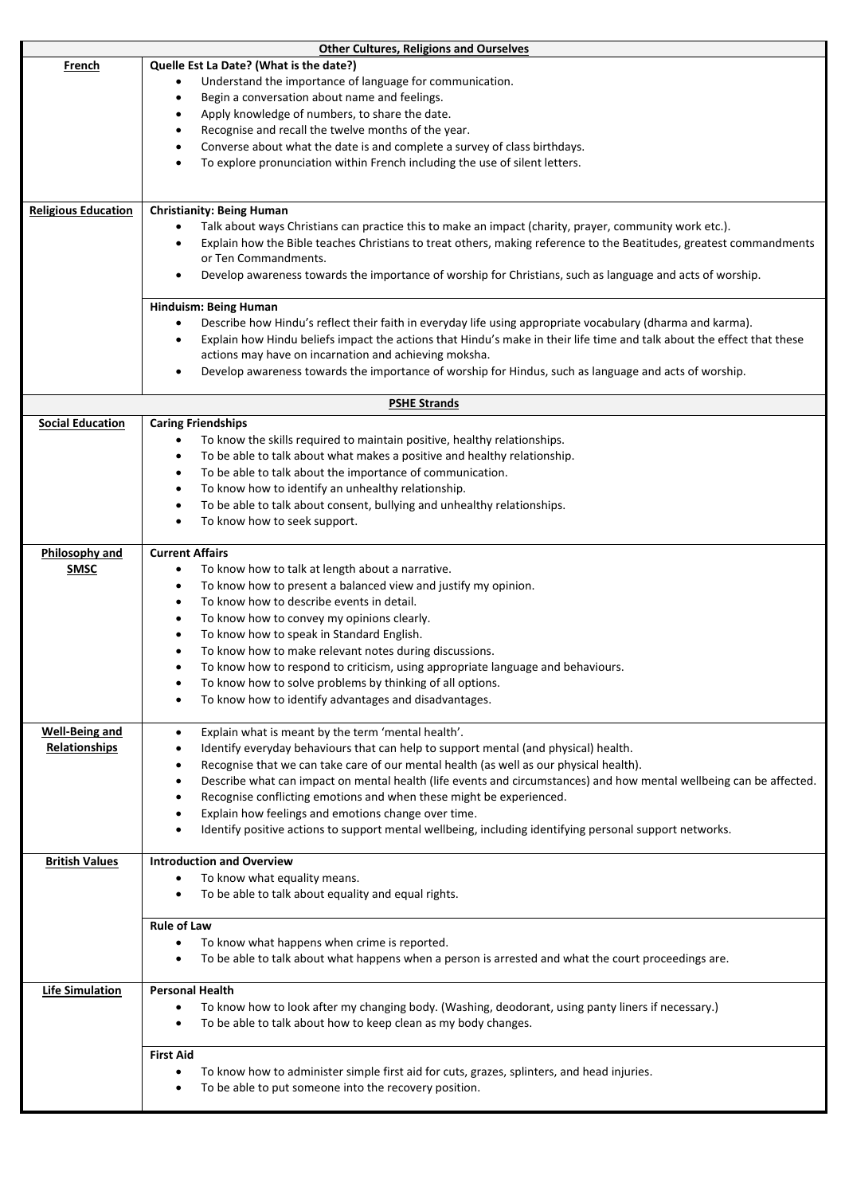| <b>Other Cultures, Religions and Ourselves</b> |                                                                                                                                                          |  |  |  |
|------------------------------------------------|----------------------------------------------------------------------------------------------------------------------------------------------------------|--|--|--|
| French                                         | Quelle Est La Date? (What is the date?)                                                                                                                  |  |  |  |
|                                                | Understand the importance of language for communication.<br>٠                                                                                            |  |  |  |
|                                                | Begin a conversation about name and feelings.<br>٠                                                                                                       |  |  |  |
|                                                | Apply knowledge of numbers, to share the date.<br>٠                                                                                                      |  |  |  |
|                                                | Recognise and recall the twelve months of the year.                                                                                                      |  |  |  |
|                                                | Converse about what the date is and complete a survey of class birthdays.<br>$\bullet$                                                                   |  |  |  |
|                                                | To explore pronunciation within French including the use of silent letters.<br>$\bullet$                                                                 |  |  |  |
|                                                |                                                                                                                                                          |  |  |  |
|                                                |                                                                                                                                                          |  |  |  |
| <b>Religious Education</b>                     | <b>Christianity: Being Human</b>                                                                                                                         |  |  |  |
|                                                | $\bullet$                                                                                                                                                |  |  |  |
|                                                | Talk about ways Christians can practice this to make an impact (charity, prayer, community work etc.).                                                   |  |  |  |
|                                                | Explain how the Bible teaches Christians to treat others, making reference to the Beatitudes, greatest commandments<br>$\bullet$<br>or Ten Commandments. |  |  |  |
|                                                |                                                                                                                                                          |  |  |  |
|                                                | Develop awareness towards the importance of worship for Christians, such as language and acts of worship.<br>٠                                           |  |  |  |
|                                                |                                                                                                                                                          |  |  |  |
|                                                | Hinduism: Being Human                                                                                                                                    |  |  |  |
|                                                | Describe how Hindu's reflect their faith in everyday life using appropriate vocabulary (dharma and karma).                                               |  |  |  |
|                                                | Explain how Hindu beliefs impact the actions that Hindu's make in their life time and talk about the effect that these<br>$\bullet$                      |  |  |  |
|                                                | actions may have on incarnation and achieving moksha.                                                                                                    |  |  |  |
|                                                | Develop awareness towards the importance of worship for Hindus, such as language and acts of worship.<br>$\bullet$                                       |  |  |  |
|                                                |                                                                                                                                                          |  |  |  |
|                                                | <b>PSHE Strands</b>                                                                                                                                      |  |  |  |
| <b>Social Education</b>                        | <b>Caring Friendships</b>                                                                                                                                |  |  |  |
|                                                | To know the skills required to maintain positive, healthy relationships.<br>٠                                                                            |  |  |  |
|                                                | To be able to talk about what makes a positive and healthy relationship.<br>$\bullet$                                                                    |  |  |  |
|                                                | To be able to talk about the importance of communication.<br>٠                                                                                           |  |  |  |
|                                                | To know how to identify an unhealthy relationship.<br>$\bullet$                                                                                          |  |  |  |
|                                                | To be able to talk about consent, bullying and unhealthy relationships.<br>$\bullet$                                                                     |  |  |  |
|                                                | To know how to seek support.<br>$\bullet$                                                                                                                |  |  |  |
|                                                |                                                                                                                                                          |  |  |  |
| <b>Philosophy and</b>                          | <b>Current Affairs</b>                                                                                                                                   |  |  |  |
| <b>SMSC</b>                                    | To know how to talk at length about a narrative.<br>$\bullet$                                                                                            |  |  |  |
|                                                | To know how to present a balanced view and justify my opinion.<br>$\bullet$                                                                              |  |  |  |
|                                                | To know how to describe events in detail.<br>$\bullet$                                                                                                   |  |  |  |
|                                                | To know how to convey my opinions clearly.<br>$\bullet$                                                                                                  |  |  |  |
|                                                | To know how to speak in Standard English.<br>٠                                                                                                           |  |  |  |
|                                                | To know how to make relevant notes during discussions.<br>٠                                                                                              |  |  |  |
|                                                |                                                                                                                                                          |  |  |  |
|                                                | To know how to respond to criticism, using appropriate language and behaviours.<br>To know how to solve problems by thinking of all options.             |  |  |  |
|                                                |                                                                                                                                                          |  |  |  |
|                                                | To know how to identify advantages and disadvantages.<br>$\bullet$                                                                                       |  |  |  |
| <b>Well-Being and</b>                          | Explain what is meant by the term 'mental health'.<br>$\bullet$                                                                                          |  |  |  |
| <b>Relationships</b>                           | Identify everyday behaviours that can help to support mental (and physical) health.<br>$\bullet$                                                         |  |  |  |
|                                                | Recognise that we can take care of our mental health (as well as our physical health).                                                                   |  |  |  |
|                                                | Describe what can impact on mental health (life events and circumstances) and how mental wellbeing can be affected.                                      |  |  |  |
|                                                | ٠                                                                                                                                                        |  |  |  |
|                                                | Recognise conflicting emotions and when these might be experienced.<br>$\bullet$                                                                         |  |  |  |
|                                                | Explain how feelings and emotions change over time.                                                                                                      |  |  |  |
|                                                | Identify positive actions to support mental wellbeing, including identifying personal support networks.                                                  |  |  |  |
|                                                | <b>Introduction and Overview</b>                                                                                                                         |  |  |  |
| <b>British Values</b>                          |                                                                                                                                                          |  |  |  |
|                                                | To know what equality means.                                                                                                                             |  |  |  |
|                                                | To be able to talk about equality and equal rights.<br>$\bullet$                                                                                         |  |  |  |
|                                                | <b>Rule of Law</b>                                                                                                                                       |  |  |  |
|                                                |                                                                                                                                                          |  |  |  |
|                                                | To know what happens when crime is reported.<br>$\bullet$                                                                                                |  |  |  |
|                                                | To be able to talk about what happens when a person is arrested and what the court proceedings are.<br>$\bullet$                                         |  |  |  |
|                                                |                                                                                                                                                          |  |  |  |
| <b>Life Simulation</b>                         | <b>Personal Health</b>                                                                                                                                   |  |  |  |
|                                                | To know how to look after my changing body. (Washing, deodorant, using panty liners if necessary.)<br>$\bullet$                                          |  |  |  |
|                                                | To be able to talk about how to keep clean as my body changes.<br>$\bullet$                                                                              |  |  |  |
|                                                |                                                                                                                                                          |  |  |  |
|                                                | <b>First Aid</b>                                                                                                                                         |  |  |  |
|                                                | To know how to administer simple first aid for cuts, grazes, splinters, and head injuries.<br>$\bullet$                                                  |  |  |  |
|                                                | To be able to put someone into the recovery position.<br>$\bullet$                                                                                       |  |  |  |
|                                                |                                                                                                                                                          |  |  |  |